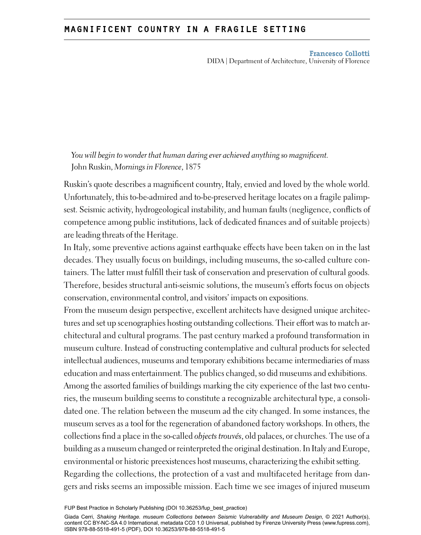## magnificent country in a fragile setting

**Francesco Collotti** DIDA | Department of Architecture, University of Florence

## *You will begin to wonder that human daring ever achieved anything so magnificent.* John Ruskin, *Mornings in Florence*, 1875

Ruskin's quote describes a magnificent country, Italy, envied and loved by the whole world. Unfortunately, this to-be-admired and to-be-preserved heritage locates on a fragile palimpsest. Seismic activity, hydrogeological instability, and human faults (negligence, conflicts of competence among public institutions, lack of dedicated finances and of suitable projects) are leading threats of the Heritage.

In Italy, some preventive actions against earthquake effects have been taken on in the last decades. They usually focus on buildings, including museums, the so-called culture containers. The latter must fulfill their task of conservation and preservation of cultural goods. Therefore, besides structural anti-seismic solutions, the museum's efforts focus on objects conservation, environmental control, and visitors' impacts on expositions.

From the museum design perspective, excellent architects have designed unique architectures and set up scenographies hosting outstanding collections. Their effort was to match architectural and cultural programs. The past century marked a profound transformation in museum culture. Instead of constructing contemplative and cultural products for selected intellectual audiences, museums and temporary exhibitions became intermediaries of mass education and mass entertainment. The publics changed, so did museums and exhibitions.

Among the assorted families of buildings marking the city experience of the last two centuries, the museum building seems to constitute a recognizable architectural type, a consolidated one. The relation between the museum ad the city changed. In some instances, the museum serves as a tool for the regeneration of abandoned factory workshops. In others, the collections find a place in the so-called *objects trouvés*, old palaces, or churches. The use of a building as a museum changed or reinterpreted the original destination. In Italy and Europe, environmental or historic preexistences host museums, characterizing the exhibit setting. Regarding the collections, the protection of a vast and multifaceted heritage from dangers and risks seems an impossible mission. Each time we see images of injured museum

FUP Best Practice in Scholarly Publishing (DOI [10.36253/fup\\_best\\_practice\)](https://doi.org/10.36253/fup_best_practice)

Giada Cerri, Shaking Heritage. museum Collections between Seismic Vulnerability and Museum Design, © 2021 Author(s), content [CC BY-NC-SA 4.0 International](https://creativecommons.org/licenses/by-nc-sa/4.0/deed.en), metadata [CC0 1.0 Universal,](https://creativecommons.org/publicdomain/zero/1.0/legalcode) published by Firenze University Press [\(www.fupress.com](https://fupress.com/)), ISBN 978-88-5518-491-5 (PDF), [DOI 10.36253/978-88-5518-491-5](https://doi.org/10.36253/978-88-5518-491-5)